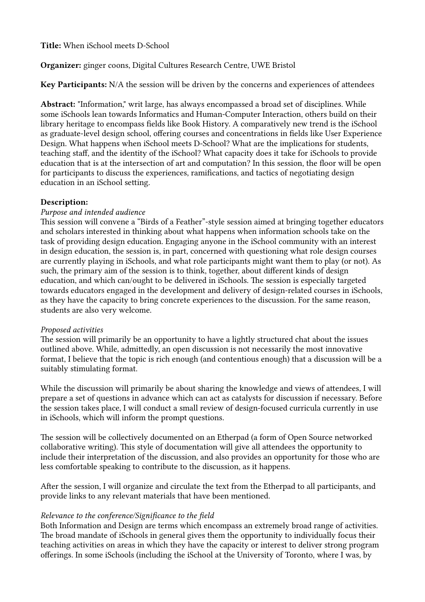Title: When iSchool meets D-School

# Organizer: ginger coons, Digital Cultures Research Centre, UWE Bristol

Key Participants: N/A the session will be driven by the concerns and experiences of attendees

Abstract: "Information," writ large, has always encompassed a broad set of disciplines. While some iSchools lean towards Informatics and Human-Computer Interaction, others build on their library heritage to encompass fields like Book History. A comparatively new trend is the iSchool as graduate-level design school, offering courses and concentrations in fields like User Experience Design. What happens when iSchool meets D-School? What are the implications for students, teaching staff, and the identity of the iSchool? What capacity does it take for iSchools to provide education that is at the intersection of art and computation? In this session, the floor will be open for participants to discuss the experiences, ramifications, and tactics of negotiating design education in an iSchool setting.

## Description:

### Purpose and intended audience

This session will convene a "Birds of a Feather"-style session aimed at bringing together educators and scholars interested in thinking about what happens when information schools take on the task of providing design education. Engaging anyone in the iSchool community with an interest in design education, the session is, in part, concerned with questioning what role design courses are currently playing in iSchools, and what role participants might want them to play (or not). As such, the primary aim of the session is to think, together, about different kinds of design education, and which can/ought to be delivered in iSchools. The session is especially targeted towards educators engaged in the development and delivery of design-related courses in iSchools, as they have the capacity to bring concrete experiences to the discussion. For the same reason, students are also very welcome.

### Proposed activities

The session will primarily be an opportunity to have a lightly structured chat about the issues outlined above. While, admittedly, an open discussion is not necessarily the most innovative format, I believe that the topic is rich enough (and contentious enough) that a discussion will be a suitably stimulating format.

While the discussion will primarily be about sharing the knowledge and views of attendees, I will prepare a set of questions in advance which can act as catalysts for discussion if necessary. Before the session takes place, I will conduct a small review of design-focused curricula currently in use in iSchools, which will inform the prompt questions.

The session will be collectively documented on an Etherpad (a form of Open Source networked collaborative writing). This style of documentation will give all attendees the opportunity to include their interpretation of the discussion, and also provides an opportunity for those who are less comfortable speaking to contribute to the discussion, as it happens.

After the session, I will organize and circulate the text from the Etherpad to all participants, and provide links to any relevant materials that have been mentioned.

## Relevance to the conference/Significance to the field

Both Information and Design are terms which encompass an extremely broad range of activities. The broad mandate of iSchools in general gives them the opportunity to individually focus their teaching activities on areas in which they have the capacity or interest to deliver strong program offerings. In some iSchools (including the iSchool at the University of Toronto, where I was, by